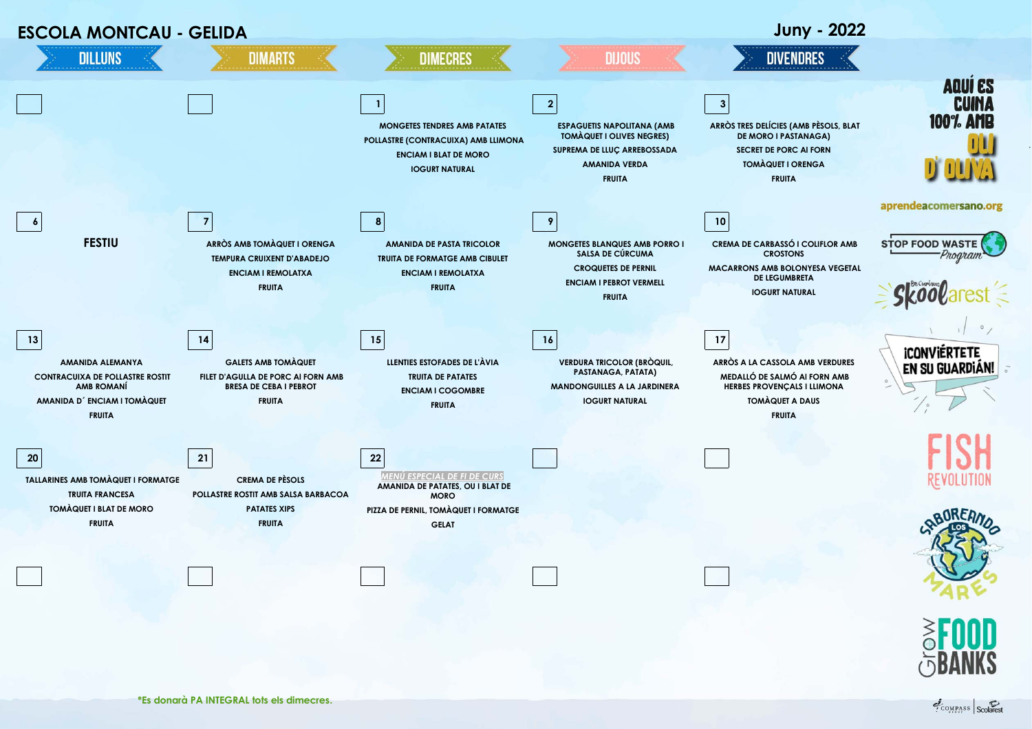

COMPASS Scolarest